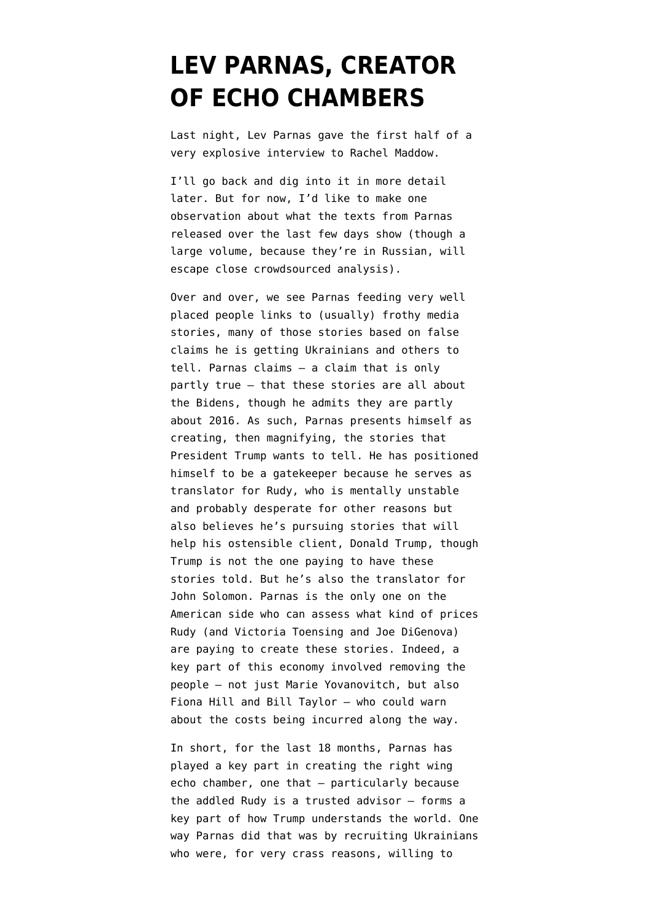## **[LEV PARNAS, CREATOR](https://www.emptywheel.net/2020/01/16/lev-parnas-creator-of-echo-chambers/) [OF ECHO CHAMBERS](https://www.emptywheel.net/2020/01/16/lev-parnas-creator-of-echo-chambers/)**

Last night, Lev Parnas gave the first half of a [very explosive interview](https://www.msnbc.com/rachel-maddow/watch/lev-parnas-president-trump-knew-exactly-what-was-going-on-76853829937) to Rachel Maddow.

I'll go back and dig into it in more detail later. But for now, I'd like to make one observation about what the [texts from Parnas](https://intelligence.house.gov/news/documentsingle.aspx?DocumentID=903) [released over the last few days](https://intelligence.house.gov/news/documentsingle.aspx?DocumentID=903) show (though a large volume, because they're in Russian, will escape close crowdsourced analysis).

Over and over, we see Parnas feeding very well placed people links to (usually) frothy media stories, many of those stories based on false claims he is getting Ukrainians and others to tell. Parnas claims — a claim that is only partly true — that these stories are all about the Bidens, though he admits they are partly about 2016. As such, Parnas presents himself as creating, then magnifying, the stories that President Trump wants to tell. He has positioned himself to be a gatekeeper because he serves as translator for Rudy, who is mentally unstable and probably desperate for other reasons but also believes he's pursuing stories that will help his ostensible client, Donald Trump, though Trump is not the one paying to have these stories told. But he's also the translator for John Solomon. Parnas is the only one on the American side who can assess what kind of prices Rudy (and Victoria Toensing and Joe DiGenova) are paying to create these stories. Indeed, a key part of this economy involved removing the people — not just Marie Yovanovitch, but also Fiona Hill and Bill Taylor — who could warn about the costs being incurred along the way.

In short, for the last 18 months, Parnas has played a key part in creating the right wing echo chamber, one that — particularly because the addled Rudy is a trusted advisor — forms a key part of how Trump understands the world. One way Parnas did that was by recruiting Ukrainians who were, for very crass reasons, willing to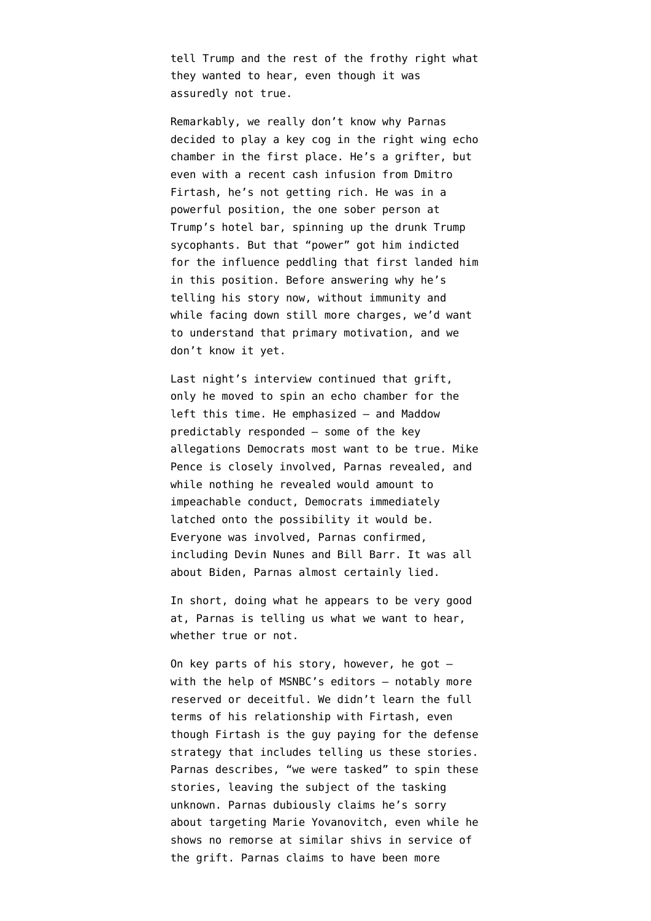tell Trump and the rest of the frothy right what they wanted to hear, even though it was assuredly not true.

Remarkably, we really don't know why Parnas decided to play a key cog in the right wing echo chamber in the first place. He's a grifter, but even with a recent cash infusion from Dmitro Firtash, he's not getting rich. He was in a powerful position, the one sober person at Trump's hotel bar, spinning up the drunk Trump sycophants. But that "power" got him indicted for the influence peddling that first landed him in this position. Before answering why he's telling his story now, without immunity and while facing down still more charges, we'd want to understand that primary motivation, and we don't know it yet.

Last night's interview continued that grift, only he moved to spin an echo chamber for the left this time. He emphasized — and Maddow predictably responded — some of the key allegations Democrats most want to be true. Mike Pence is closely involved, Parnas revealed, and while nothing he revealed would amount to impeachable conduct, Democrats immediately latched onto the possibility it would be. Everyone was involved, Parnas confirmed, including Devin Nunes and Bill Barr. It was all about Biden, Parnas almost certainly lied.

In short, doing what he appears to be very good at, Parnas is telling us what we want to hear, whether true or not.

On key parts of his story, however, he got with the help of MSNBC's editors — notably more reserved or deceitful. We didn't learn the full terms of his relationship with Firtash, even though Firtash is the guy paying for the defense strategy that includes telling us these stories. Parnas describes, "we were tasked" to spin these stories, leaving the subject of the tasking unknown. Parnas dubiously claims he's sorry about targeting Marie Yovanovitch, even while he shows no remorse at similar shivs in service of the grift. Parnas claims to have been more